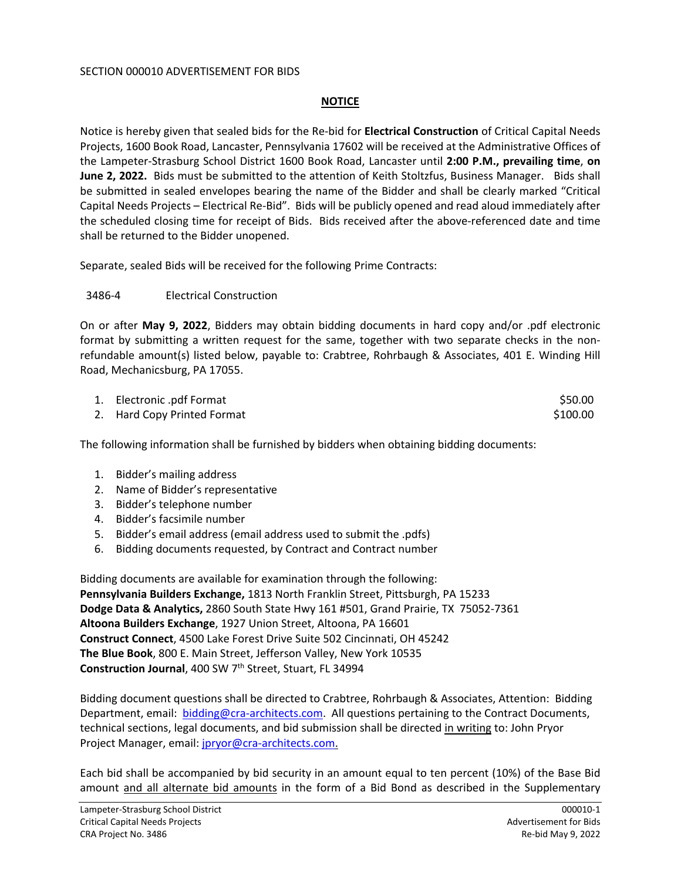## SECTION 000010 ADVERTISEMENT FOR BIDS

## **NOTICE**

Notice is hereby given that sealed bids for the Re-bid for **Electrical Construction** of Critical Capital Needs Projects, 1600 Book Road, Lancaster, Pennsylvania 17602 will be received at the Administrative Offices of the Lampeter-Strasburg School District 1600 Book Road, Lancaster until **2:00 P.M., prevailing time**, **on June 2, 2022.** Bids must be submitted to the attention of Keith Stoltzfus, Business Manager. Bids shall be submitted in sealed envelopes bearing the name of the Bidder and shall be clearly marked "Critical Capital Needs Projects – Electrical Re-Bid". Bids will be publicly opened and read aloud immediately after the scheduled closing time for receipt of Bids. Bids received after the above-referenced date and time shall be returned to the Bidder unopened.

Separate, sealed Bids will be received for the following Prime Contracts:

## 3486-4 Electrical Construction

On or after **May 9, 2022**, Bidders may obtain bidding documents in hard copy and/or .pdf electronic format by submitting a written request for the same, together with two separate checks in the nonrefundable amount(s) listed below, payable to: Crabtree, Rohrbaugh & Associates, 401 E. Winding Hill Road, Mechanicsburg, PA 17055.

| 1. Electronic .pdf Format   | \$50.00  |
|-----------------------------|----------|
| 2. Hard Copy Printed Format | \$100.00 |

The following information shall be furnished by bidders when obtaining bidding documents:

- 1. Bidder's mailing address
- 2. Name of Bidder's representative
- 3. Bidder's telephone number
- 4. Bidder's facsimile number
- 5. Bidder's email address (email address used to submit the .pdfs)
- 6. Bidding documents requested, by Contract and Contract number

Bidding documents are available for examination through the following: **Pennsylvania Builders Exchange,** 1813 North Franklin Street, Pittsburgh, PA 15233 **Dodge Data & Analytics,** 2860 South State Hwy 161 #501, Grand Prairie, TX 75052-7361 **Altoona Builders Exchange**, 1927 Union Street, Altoona, PA 16601 **Construct Connect**, 4500 Lake Forest Drive Suite 502 Cincinnati, OH 45242 **The Blue Book**, 800 E. Main Street, Jefferson Valley, New York 10535 **Construction Journal**, 400 SW 7th Street, Stuart, FL 34994

Bidding document questions shall be directed to Crabtree, Rohrbaugh & Associates, Attention: Bidding Department, email: [bidding@cra-architects.com](mailto:bidding@cra-architects.com). All questions pertaining to the Contract Documents, technical sections, legal documents, and bid submission shall be directed in writing to: John Pryor Project Manager, email: [jpryor@cra-architects.com](mailto:jpryor@cra-architects.com).

Each bid shall be accompanied by bid security in an amount equal to ten percent (10%) of the Base Bid amount and all alternate bid amounts in the form of a Bid Bond as described in the Supplementary